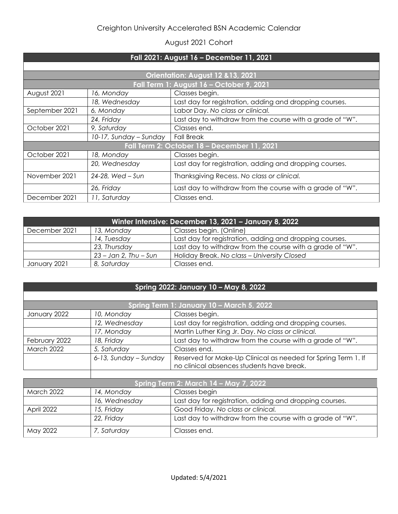## August 2021 Cohort

| Fall 2021: August 16 - December 11, 2021    |                        |                                                           |  |  |
|---------------------------------------------|------------------------|-----------------------------------------------------------|--|--|
|                                             |                        |                                                           |  |  |
| Orientation: August 12 & 13, 2021           |                        |                                                           |  |  |
| Fall Term 1: August 16 - October 9, 2021    |                        |                                                           |  |  |
| August 2021                                 | 16, Monday             | Classes begin.                                            |  |  |
|                                             | 18, Wednesday          | Last day for registration, adding and dropping courses.   |  |  |
| September 2021                              | 6, Monday              | Labor Day. No class or clinical.                          |  |  |
|                                             | 24, Friday             | Last day to withdraw from the course with a grade of "W". |  |  |
| October 2021                                | 9, Saturday            | Classes end.                                              |  |  |
|                                             | 10-17, Sunday - Sunday | <b>Fall Break</b>                                         |  |  |
| Fall Term 2: October 18 - December 11, 2021 |                        |                                                           |  |  |
| October 2021                                | 18, Monday             | Classes begin.                                            |  |  |
|                                             | 20, Wednesday          | Last day for registration, adding and dropping courses.   |  |  |
| November 2021                               | 24-28, Wed - Sun       | Thanksgiving Recess. No class or clinical.                |  |  |
|                                             | 26, Friday             | Last day to withdraw from the course with a grade of "W". |  |  |
| December 2021                               | 11, Saturday           | Classes end.                                              |  |  |

| Winter Intensive: December 13, 2021 - January 8, 2022 |                         |                                                           |  |
|-------------------------------------------------------|-------------------------|-----------------------------------------------------------|--|
| December 2021                                         | 13, Monday              | Classes begin. (Online)                                   |  |
|                                                       | 14, Tuesday             | Last day for registration, adding and dropping courses.   |  |
|                                                       | 23, Thursday            | Last day to withdraw from the course with a grade of "W". |  |
|                                                       | $23 -$ Jan 2, Thu – Sun | Holiday Break. No class - University Closed               |  |
| January 2021                                          | 8, Saturday             | Classes end.                                              |  |

## **Spring 2022: January 10 – May 8, 2022**

| Spring Term 1: January 10 - March 5, 2022 |                       |                                                               |
|-------------------------------------------|-----------------------|---------------------------------------------------------------|
| January 2022                              | 10, Monday            | Classes begin.                                                |
|                                           | 12, Wednesday         | Last day for registration, adding and dropping courses.       |
|                                           | 17, Monday            | Martin Luther King Jr. Day. No class or clinical.             |
| February 2022                             | 18, Friday            | Last day to withdraw from the course with a grade of "W".     |
| <b>March 2022</b>                         | 5, Saturday           | Classes end.                                                  |
|                                           | 6-13, Sunday - Sunday | Reserved for Make-Up Clinical as needed for Spring Term 1. If |
|                                           |                       | no clinical absences students have break.                     |
|                                           |                       |                                                               |

| Spring Term 2: March 14 - May 7, 2022 |               |                                                           |
|---------------------------------------|---------------|-----------------------------------------------------------|
| March 2022                            | 14, Monday    | Classes begin                                             |
|                                       | 16, Wednesday | Last day for registration, adding and dropping courses.   |
| April 2022                            | 15, Friday    | Good Friday. No class or clinical.                        |
|                                       | 22, Friday    | Last day to withdraw from the course with a grade of "W". |
| May 2022                              | 7, Saturday   | Classes end.                                              |